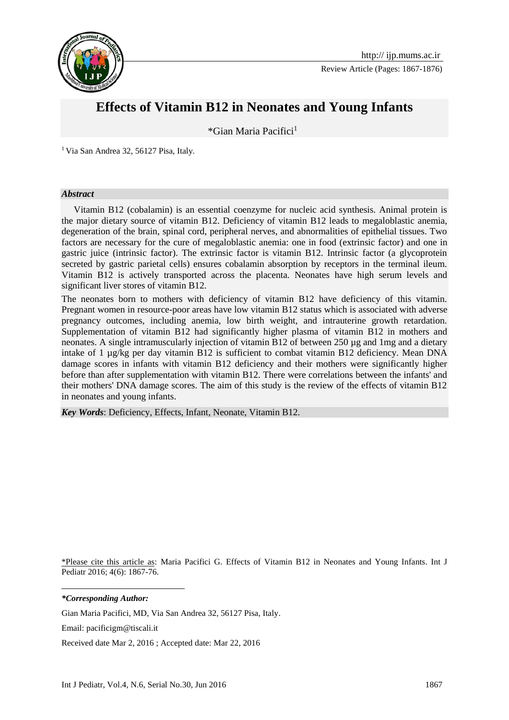

Review Article (Pages: 1867-1876)

# **Effects of Vitamin B12 in Neonates and Young Infants**

\*Gian Maria Pacifici<sup>1</sup>**<sup>1</sup>**

<sup>1</sup> Via San Andrea 32, 56127 Pisa, Italy.

#### *Abstract*

Vitamin B12 (cobalamin) is an essential coenzyme for nucleic acid synthesis. Animal protein is the major dietary source of vitamin B12. Deficiency of vitamin B12 leads to megaloblastic anemia, degeneration of the brain, spinal cord, peripheral nerves, and abnormalities of epithelial tissues. Two factors are necessary for the cure of megaloblastic anemia: one in food (extrinsic factor) and one in gastric juice (intrinsic factor). The extrinsic factor is vitamin B12. Intrinsic factor (a glycoprotein secreted by gastric parietal cells) ensures cobalamin absorption by receptors in the terminal ileum. Vitamin B12 is actively transported across the placenta. Neonates have high serum levels and significant liver stores of vitamin B12.

The neonates born to mothers with deficiency of vitamin B12 have deficiency of this vitamin. Pregnant women in resource-poor areas have low vitamin B12 status which is associated with adverse pregnancy outcomes, including anemia, low birth weight, and intrauterine growth retardation. Supplementation of vitamin B12 had significantly higher plasma of vitamin B12 in mothers and neonates. A single intramuscularly injection of vitamin B12 of between 250 µg and 1mg and a dietary intake of 1 µg/kg per day vitamin B12 is sufficient to combat vitamin B12 deficiency. Mean DNA damage scores in infants with vitamin B12 deficiency and their mothers were significantly higher before than after supplementation with vitamin B12. There were correlations between the infants' and their mothers' DNA damage scores. The aim of this study is the review of the effects of vitamin B12 in neonates and young infants.

*Key Words*: Deficiency, Effects, Infant, Neonate, Vitamin B12.

\*Please cite this article as: Maria Pacifici G. Effects of Vitamin B12 in Neonates and Young Infants. Int J Pediatr 2016; 4(6): 1867-76.

*\*Corresponding Author:*

**.** 

Gian Maria Pacifici, MD, Via San Andrea 32, 56127 Pisa, Italy.

Email: pacificigm@tiscali.it

Received date Mar 2, 2016 ; Accepted date: Mar 22, 2016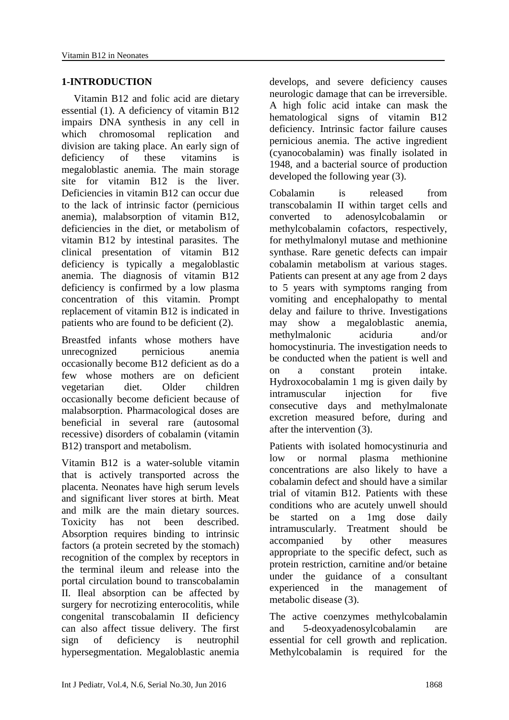#### **1-INTRODUCTION**

Vitamin B12 and folic acid are dietary essential (1). A deficiency of vitamin B12 impairs DNA synthesis in any cell in which chromosomal replication and division are taking place. An early sign of deficiency of these vitamins is megaloblastic anemia. The main storage site for vitamin B12 is the liver. Deficiencies in vitamin B12 can occur due to the lack of intrinsic factor (pernicious anemia), malabsorption of vitamin B12, deficiencies in the diet, or metabolism of vitamin B12 by intestinal parasites. The clinical presentation of vitamin B12 deficiency is typically a megaloblastic anemia. The diagnosis of vitamin B12 deficiency is confirmed by a low plasma concentration of this vitamin. Prompt replacement of vitamin B12 is indicated in patients who are found to be deficient (2).

Breastfed infants whose mothers have unrecognized pernicious anemia occasionally become B12 deficient as do a few whose mothers are on deficient vegetarian diet. Older children occasionally become deficient because of malabsorption. Pharmacological doses are beneficial in several rare (autosomal recessive) disorders of cobalamin (vitamin B12) transport and metabolism.

Vitamin B12 is a water-soluble vitamin that is actively transported across the placenta. Neonates have high serum levels and significant liver stores at birth. Meat and milk are the main dietary sources. Toxicity has not been described. Absorption requires binding to intrinsic factors (a protein secreted by the stomach) recognition of the complex by receptors in the terminal ileum and release into the portal circulation bound to transcobalamin II. Ileal absorption can be affected by surgery for necrotizing enterocolitis, while congenital transcobalamin II deficiency can also affect tissue delivery. The first sign of deficiency is neutrophil hypersegmentation. Megaloblastic anemia develops, and severe deficiency causes neurologic damage that can be irreversible. A high folic acid intake can mask the hematological signs of vitamin B12 deficiency. Intrinsic factor failure causes pernicious anemia. The active ingredient (cyanocobalamin) was finally isolated in 1948, and a bacterial source of production developed the following year (3).

Cobalamin is released from transcobalamin II within target cells and converted to adenosylcobalamin or methylcobalamin cofactors, respectively, for methylmalonyl mutase and methionine synthase. Rare genetic defects can impair cobalamin metabolism at various stages. Patients can present at any age from 2 days to 5 years with symptoms ranging from vomiting and encephalopathy to mental delay and failure to thrive. Investigations may show a megaloblastic anemia, methylmalonic aciduria and/or homocystinuria. The investigation needs to be conducted when the patient is well and on a constant protein intake. Hydroxocobalamin 1 mg is given daily by intramuscular injection for five consecutive days and methylmalonate excretion measured before, during and after the intervention (3).

Patients with isolated homocystinuria and low or normal plasma methionine concentrations are also likely to have a cobalamin defect and should have a similar trial of vitamin B12. Patients with these conditions who are acutely unwell should be started on a 1mg dose daily intramuscularly. Treatment should be accompanied by other measures appropriate to the specific defect, such as protein restriction, carnitine and/or betaine under the guidance of a consultant experienced in the management of metabolic disease (3).

The active coenzymes methylcobalamin and 5-deoxyadenosylcobalamin are essential for cell growth and replication. Methylcobalamin is required for the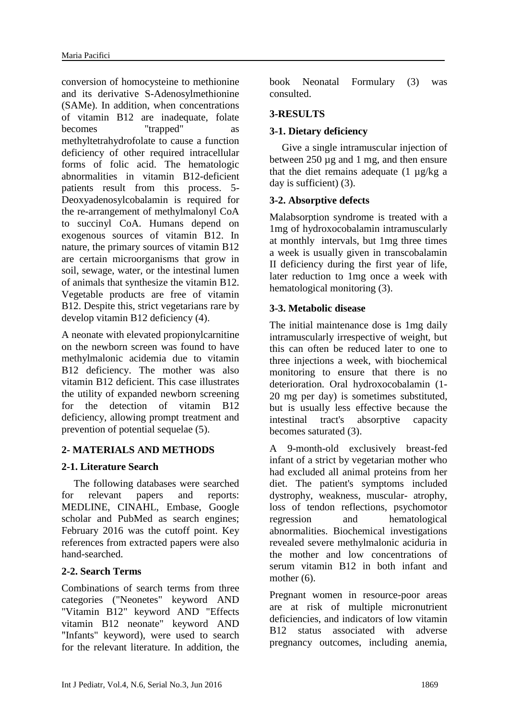conversion of homocysteine to methionine and its derivative S-Adenosylmethionine (SAMe). In addition, when concentrations of vitamin B12 are inadequate, folate becomes "trapped" methyltetrahydrofolate to cause a function deficiency of other required intracellular forms of folic acid. The hematologic abnormalities in vitamin B12-deficient patients result from this process. 5- Deoxyadenosylcobalamin is required for the re-arrangement of methylmalonyl CoA to succinyl CoA. Humans depend on exogenous sources of vitamin B12. In nature, the primary sources of vitamin B12 are certain microorganisms that grow in soil, sewage, water, or the intestinal lumen of animals that synthesize the vitamin B12. Vegetable products are free of vitamin B12. Despite this, strict vegetarians rare by develop vitamin B12 deficiency (4).

A neonate with elevated propionylcarnitine on the newborn screen was found to have methylmalonic acidemia due to vitamin B12 deficiency. The mother was also vitamin B12 deficient. This case illustrates the utility of expanded newborn screening for the detection of vitamin B12 deficiency, allowing prompt treatment and prevention of potential sequelae (5).

# **2- MATERIALS AND METHODS**

# **2-1. Literature Search**

The following databases were searched for relevant papers and reports: MEDLINE, CINAHL, Embase, Google scholar and PubMed as search engines; February 2016 was the cutoff point. Key references from extracted papers were also hand-searched.

# **2-2. Search Terms**

Combinations of search terms from three categories ("Neonetes" keyword AND "Vitamin B12" keyword AND "Effects vitamin B12 neonate" keyword AND "Infants" keyword), were used to search for the relevant literature. In addition, the book Neonatal Formulary (3) was consulted.

## **3-RESULTS**

## **3-1. Dietary deficiency**

Give a single intramuscular injection of between 250 µg and 1 mg, and then ensure that the diet remains adequate  $(1 \mu g/kg a)$ day is sufficient) (3).

#### **3-2. Absorptive defects**

Malabsorption syndrome is treated with a 1mg of hydroxocobalamin intramuscularly at monthly intervals, but 1mg three times a week is usually given in transcobalamin II deficiency during the first year of life, later reduction to 1mg once a week with hematological monitoring (3).

## **3-3. Metabolic disease**

The initial maintenance dose is 1mg daily intramuscularly irrespective of weight, but this can often be reduced later to one to three injections a week, with biochemical monitoring to ensure that there is no deterioration. Oral hydroxocobalamin (1- 20 mg per day) is sometimes substituted, but is usually less effective because the intestinal tract's absorptive capacity becomes saturated (3).

A 9-month-old exclusively breast-fed infant of a strict by vegetarian mother who had excluded all animal proteins from her diet. The patient's symptoms included dystrophy, weakness, muscular- atrophy, loss of tendon reflections, psychomotor regression and hematological abnormalities. Biochemical investigations revealed severe methylmalonic aciduria in the mother and low concentrations of serum vitamin B12 in both infant and mother  $(6)$ .

Pregnant women in resource-poor areas are at risk of multiple micronutrient deficiencies, and indicators of low vitamin B12 status associated with adverse pregnancy outcomes, including anemia,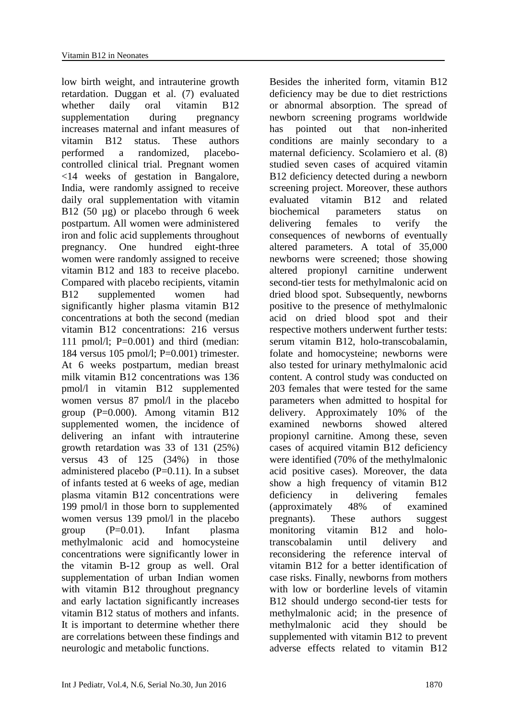low birth weight, and intrauterine growth retardation. Duggan et al. (7) evaluated whether daily oral vitamin B12 supplementation during pregnancy increases maternal and infant measures of vitamin B12 status. These authors performed a randomized, placebocontrolled clinical trial. Pregnant women <14 weeks of gestation in Bangalore, India, were randomly assigned to receive daily oral supplementation with vitamin B12 (50 µg) or placebo through 6 week postpartum. All women were administered iron and folic acid supplements throughout pregnancy. One hundred eight-three women were randomly assigned to receive vitamin B12 and 183 to receive placebo. Compared with placebo recipients, vitamin B12 supplemented women had significantly higher plasma vitamin B12 concentrations at both the second (median vitamin B12 concentrations: 216 versus 111 pmol/l;  $P=0.001$ ) and third (median: 184 versus 105 pmol/l; P=0.001) trimester. At 6 weeks postpartum, median breast milk vitamin B12 concentrations was 136 pmol/l in vitamin B12 supplemented women versus 87 pmol/l in the placebo group (P=0.000). Among vitamin B12 supplemented women, the incidence of delivering an infant with intrauterine growth retardation was 33 of 131 (25%) versus 43 of 125 (34%) in those administered placebo (P=0.11). In a subset of infants tested at 6 weeks of age, median plasma vitamin B12 concentrations were 199 pmol/l in those born to supplemented women versus 139 pmol/l in the placebo group (P=0.01). Infant plasma methylmalonic acid and homocysteine concentrations were significantly lower in the vitamin B-12 group as well. Oral supplementation of urban Indian women with vitamin B12 throughout pregnancy and early lactation significantly increases vitamin B12 status of mothers and infants. It is important to determine whether there are correlations between these findings and neurologic and metabolic functions.

Besides the inherited form, vitamin B12 deficiency may be due to diet restrictions or abnormal absorption. The spread of newborn screening programs worldwide has pointed out that non-inherited conditions are mainly secondary to a maternal deficiency. Scolamiero et al. (8) studied seven cases of acquired vitamin B12 deficiency detected during a newborn screening project. Moreover, these authors evaluated vitamin B12 and related biochemical parameters status on delivering females to verify the consequences of newborns of eventually altered parameters. A total of 35,000 newborns were screened; those showing altered propionyl carnitine underwent second-tier tests for methylmalonic acid on dried blood spot. Subsequently, newborns positive to the presence of methylmalonic acid on dried blood spot and their respective mothers underwent further tests: serum vitamin B12, holo-transcobalamin, folate and homocysteine; newborns were also tested for urinary methylmalonic acid content. A control study was conducted on 203 females that were tested for the same parameters when admitted to hospital for delivery. Approximately 10% of the examined newborns showed altered propionyl carnitine. Among these, seven cases of acquired vitamin B12 deficiency were identified (70% of the methylmalonic acid positive cases). Moreover, the data show a high frequency of vitamin B12 deficiency in delivering females (approximately 48% of examined pregnants). These authors suggest monitoring vitamin B12 and holotranscobalamin until delivery and reconsidering the reference interval of vitamin B12 for a better identification of case risks. Finally, newborns from mothers with low or borderline levels of vitamin B12 should undergo second-tier tests for methylmalonic acid; in the presence of methylmalonic acid they should be supplemented with vitamin B12 to prevent adverse effects related to vitamin B12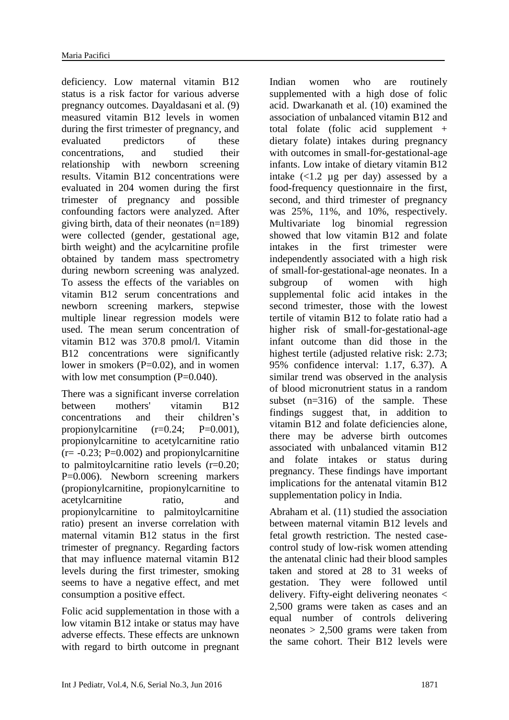deficiency. Low maternal vitamin B12 status is a risk factor for various adverse pregnancy outcomes. Dayaldasani et al. (9) measured vitamin B12 levels in women during the first trimester of pregnancy, and evaluated predictors of these concentrations, and studied their relationship with newborn screening results. Vitamin B12 concentrations were evaluated in 204 women during the first trimester of pregnancy and possible confounding factors were analyzed. After giving birth, data of their neonates (n=189) were collected (gender, gestational age, birth weight) and the acylcarnitine profile obtained by tandem mass spectrometry during newborn screening was analyzed. To assess the effects of the variables on vitamin B12 serum concentrations and newborn screening markers, stepwise multiple linear regression models were used. The mean serum concentration of vitamin B12 was 370.8 pmol/l. Vitamin B12 concentrations were significantly lower in smokers  $(P=0.02)$ , and in women with low met consumption (P=0.040).

There was a significant inverse correlation between mothers' vitamin B12 concentrations and their children's propionylcarnitine  $(r=0.24; P=0.001)$ , propionylcarnitine to acetylcarnitine ratio  $(r=-0.23; P=0.002)$  and propionyl carnitine to palmitoylcarnitine ratio levels (r=0.20; P=0.006). Newborn screening markers (propionylcarnitine, propionylcarnitine to acetylcarnitine ratio, and propionylcarnitine to palmitoylcarnitine ratio) present an inverse correlation with maternal vitamin B12 status in the first trimester of pregnancy. Regarding factors that may influence maternal vitamin B12 levels during the first trimester, smoking seems to have a negative effect, and met consumption a positive effect.

Folic acid supplementation in those with a low vitamin B12 intake or status may have adverse effects. These effects are unknown with regard to birth outcome in pregnant Indian women who are routinely supplemented with a high dose of folic acid. Dwarkanath et al. (10) examined the association of unbalanced vitamin B12 and total folate (folic acid supplement + dietary folate) intakes during pregnancy with outcomes in small-for-gestational-age infants. Low intake of dietary vitamin B12 intake  $\left($  <1.2 µg per day) assessed by a food-frequency questionnaire in the first, second, and third trimester of pregnancy was 25%, 11%, and 10%, respectively. Multivariate log binomial regression showed that low vitamin B12 and folate intakes in the first trimester were independently associated with a high risk of small-for-gestational-age neonates. In a subgroup of women with high supplemental folic acid intakes in the second trimester, those with the lowest tertile of vitamin B12 to folate ratio had a higher risk of small-for-gestational-age infant outcome than did those in the highest tertile (adjusted relative risk: 2.73; 95% confidence interval: 1.17, 6.37). A similar trend was observed in the analysis of blood micronutrient status in a random subset (n=316) of the sample. These findings suggest that, in addition to vitamin B12 and folate deficiencies alone, there may be adverse birth outcomes associated with unbalanced vitamin B12 and folate intakes or status during pregnancy. These findings have important implications for the antenatal vitamin B12 supplementation policy in India.

Abraham et al. (11) studied the association between maternal vitamin B12 levels and fetal growth restriction. The nested casecontrol study of low-risk women attending the antenatal clinic had their blood samples taken and stored at 28 to 31 weeks of gestation. They were followed until delivery. Fifty-eight delivering neonates < 2,500 grams were taken as cases and an equal number of controls delivering neonates  $> 2,500$  grams were taken from the same cohort. Their B12 levels were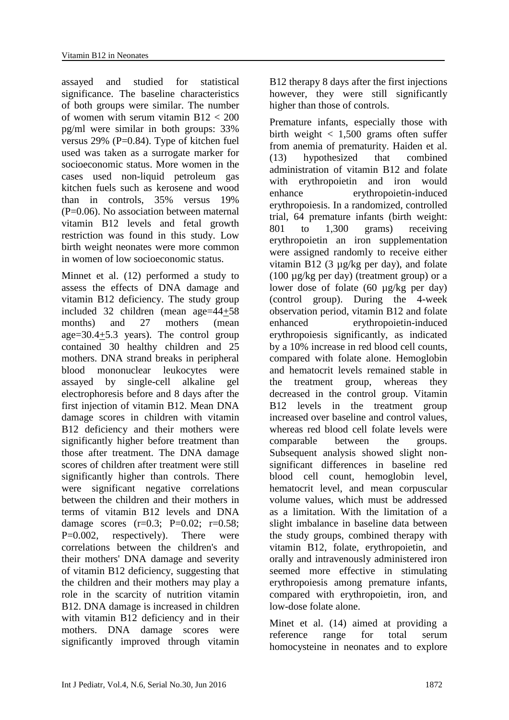assayed and studied for statistical significance. The baseline characteristics of both groups were similar. The number of women with serum vitamin B12 < 200 pg/ml were similar in both groups: 33% versus 29% (P=0.84). Type of kitchen fuel used was taken as a surrogate marker for socioeconomic status. More women in the cases used non-liquid petroleum gas kitchen fuels such as kerosene and wood than in controls, 35% versus 19%  $(P=0.06)$ . No association between maternal vitamin B12 levels and fetal growth restriction was found in this study. Low birth weight neonates were more common in women of low socioeconomic status.

Minnet et al. (12) performed a study to assess the effects of DNA damage and vitamin B12 deficiency. The study group included 32 children (mean age=44+58 months) and 27 mothers (mean age=30.4+5.3 years). The control group contained 30 healthy children and 25 mothers. DNA strand breaks in peripheral blood mononuclear leukocytes were assayed by single-cell alkaline gel electrophoresis before and 8 days after the first injection of vitamin B12. Mean DNA damage scores in children with vitamin B<sub>12</sub> deficiency and their mothers were significantly higher before treatment than those after treatment. The DNA damage scores of children after treatment were still significantly higher than controls. There were significant negative correlations between the children and their mothers in terms of vitamin B12 levels and DNA damage scores  $(r=0.3; P=0.02; r=0.58;$ P=0.002, respectively). There were correlations between the children's and their mothers' DNA damage and severity of vitamin B12 deficiency, suggesting that the children and their mothers may play a role in the scarcity of nutrition vitamin B12. DNA damage is increased in children with vitamin B12 deficiency and in their mothers. DNA damage scores were significantly improved through vitamin B12 therapy 8 days after the first injections however, they were still significantly higher than those of controls.

Premature infants, especially those with birth weight  $< 1,500$  grams often suffer from anemia of prematurity. Haiden et al. (13) hypothesized that combined administration of vitamin B12 and folate with erythropoietin and iron would enhance erythropoietin-induced erythropoiesis. In a randomized, controlled trial, 64 premature infants (birth weight: 801 to 1,300 grams) receiving erythropoietin an iron supplementation were assigned randomly to receive either vitamin B12 (3 µg/kg per day), and folate (100 µg/kg per day) (treatment group) or a lower dose of folate (60 µg/kg per day) (control group). During the 4-week observation period, vitamin B12 and folate enhanced erythropoietin-induced erythropoiesis significantly, as indicated by a 10% increase in red blood cell counts, compared with folate alone. Hemoglobin and hematocrit levels remained stable in the treatment group, whereas they decreased in the control group. Vitamin B12 levels in the treatment group increased over baseline and control values, whereas red blood cell folate levels were comparable between the groups. Subsequent analysis showed slight nonsignificant differences in baseline red blood cell count, hemoglobin level, hematocrit level, and mean corpuscular volume values, which must be addressed as a limitation. With the limitation of a slight imbalance in baseline data between the study groups, combined therapy with vitamin B12, folate, erythropoietin, and orally and intravenously administered iron seemed more effective in stimulating erythropoiesis among premature infants, compared with erythropoietin, iron, and low-dose folate alone.

Minet et al. (14) aimed at providing a reference range for total serum homocysteine in neonates and to explore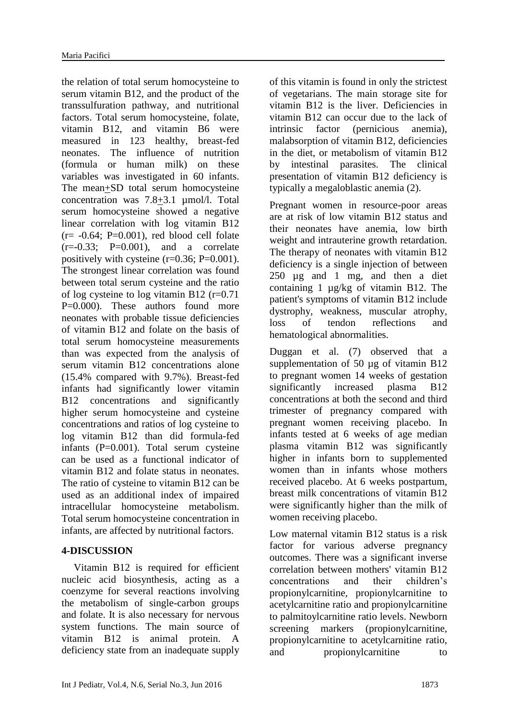the relation of total serum homocysteine to serum vitamin B12, and the product of the transsulfuration pathway, and nutritional factors. Total serum homocysteine, folate, vitamin B12, and vitamin B6 were measured in 123 healthy, breast-fed neonates. The influence of nutrition (formula or human milk) on these variables was investigated in 60 infants. The mean+SD total serum homocysteine concentration was 7.8+3.1 µmol/l. Total serum homocysteine showed a negative linear correlation with log vitamin B12  $(r=-0.64; P=0.001)$ , red blood cell folate  $(r=-0.33; P=0.001)$ , and a correlate positively with cysteine  $(r=0.36; P=0.001)$ . The strongest linear correlation was found between total serum cysteine and the ratio of log cysteine to log vitamin B12 (r=0.71 P=0.000). These authors found more neonates with probable tissue deficiencies of vitamin B12 and folate on the basis of total serum homocysteine measurements than was expected from the analysis of serum vitamin B12 concentrations alone (15.4% compared with 9.7%). Breast-fed infants had significantly lower vitamin B<sub>12</sub> concentrations and significantly higher serum homocysteine and cysteine concentrations and ratios of log cysteine to log vitamin B12 than did formula-fed infants (P=0.001). Total serum cysteine can be used as a functional indicator of vitamin B12 and folate status in neonates. The ratio of cysteine to vitamin B12 can be used as an additional index of impaired intracellular homocysteine metabolism. Total serum homocysteine concentration in infants, are affected by nutritional factors.

#### **4-DISCUSSION**

Vitamin B12 is required for efficient nucleic acid biosynthesis, acting as a coenzyme for several reactions involving the metabolism of single-carbon groups and folate. It is also necessary for nervous system functions. The main source of vitamin B12 is animal protein. A deficiency state from an inadequate supply of this vitamin is found in only the strictest of vegetarians. The main storage site for vitamin B12 is the liver. Deficiencies in vitamin B12 can occur due to the lack of intrinsic factor (pernicious anemia), malabsorption of vitamin B12, deficiencies in the diet, or metabolism of vitamin B12 by intestinal parasites. The clinical presentation of vitamin B12 deficiency is typically a megaloblastic anemia (2).

Pregnant women in resource-poor areas are at risk of low vitamin B12 status and their neonates have anemia, low birth weight and intrauterine growth retardation. The therapy of neonates with vitamin B12 deficiency is a single injection of between 250 µg and 1 mg, and then a diet containing 1 µg/kg of vitamin B12. The patient's symptoms of vitamin B12 include dystrophy, weakness, muscular atrophy, loss of tendon reflections and hematological abnormalities.

Duggan et al. (7) observed that a supplementation of 50 µg of vitamin B12 to pregnant women 14 weeks of gestation significantly increased plasma B12 concentrations at both the second and third trimester of pregnancy compared with pregnant women receiving placebo. In infants tested at 6 weeks of age median plasma vitamin B12 was significantly higher in infants born to supplemented women than in infants whose mothers received placebo. At 6 weeks postpartum, breast milk concentrations of vitamin B12 were significantly higher than the milk of women receiving placebo.

Low maternal vitamin B12 status is a risk factor for various adverse pregnancy outcomes. There was a significant inverse correlation between mothers' vitamin B12 concentrations and their children's propionylcarnitine, propionylcarnitine to acetylcarnitine ratio and propionylcarnitine to palmitoylcarnitine ratio levels. Newborn screening markers (propionylcarnitine, propionylcarnitine to acetylcarnitine ratio, and propionylcarnitine to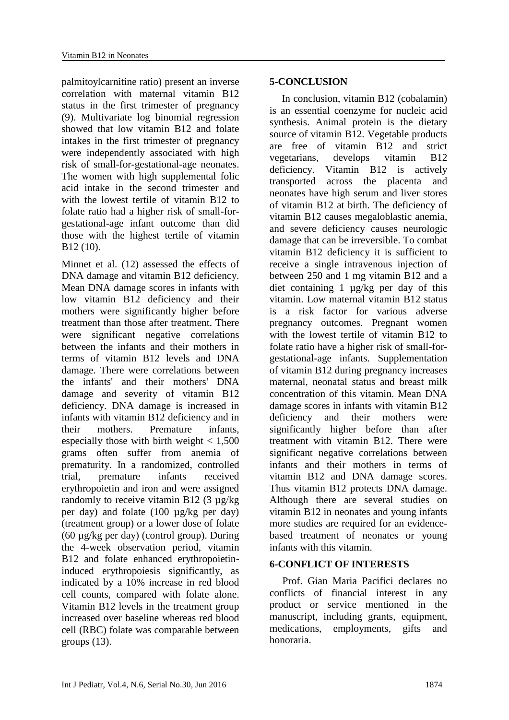palmitoylcarnitine ratio) present an inverse correlation with maternal vitamin B12 status in the first trimester of pregnancy (9). Multivariate log binomial regression showed that low vitamin B12 and folate intakes in the first trimester of pregnancy were independently associated with high risk of small-for-gestational-age neonates. The women with high supplemental folic acid intake in the second trimester and with the lowest tertile of vitamin B12 to folate ratio had a higher risk of small-forgestational-age infant outcome than did those with the highest tertile of vitamin B12 (10).

Minnet et al. (12) assessed the effects of DNA damage and vitamin B12 deficiency. Mean DNA damage scores in infants with low vitamin B12 deficiency and their mothers were significantly higher before treatment than those after treatment. There were significant negative correlations between the infants and their mothers in terms of vitamin B12 levels and DNA damage. There were correlations between the infants' and their mothers' DNA damage and severity of vitamin B12 deficiency. DNA damage is increased in infants with vitamin B12 deficiency and in their mothers. Premature infants, especially those with birth weight  $< 1,500$ grams often suffer from anemia of prematurity. In a randomized, controlled trial, premature infants received erythropoietin and iron and were assigned randomly to receive vitamin B12 (3 µg/kg per day) and folate (100 µg/kg per day) (treatment group) or a lower dose of folate (60 µg/kg per day) (control group). During the 4-week observation period, vitamin B12 and folate enhanced erythropoietininduced erythropoiesis significantly, as indicated by a 10% increase in red blood cell counts, compared with folate alone. Vitamin B12 levels in the treatment group increased over baseline whereas red blood cell (RBC) folate was comparable between groups  $(13)$ .

#### **5-CONCLUSION**

In conclusion, vitamin B12 (cobalamin) is an essential coenzyme for nucleic acid synthesis. Animal protein is the dietary source of vitamin B12. Vegetable products are free of vitamin B12 and strict vegetarians, develops vitamin B12 deficiency. Vitamin B12 is actively transported across the placenta and neonates have high serum and liver stores of vitamin B12 at birth. The deficiency of vitamin B12 causes megaloblastic anemia, and severe deficiency causes neurologic damage that can be irreversible. To combat vitamin B12 deficiency it is sufficient to receive a single intravenous injection of between 250 and 1 mg vitamin B12 and a diet containing 1 µg/kg per day of this vitamin. Low maternal vitamin B12 status is a risk factor for various adverse pregnancy outcomes. Pregnant women with the lowest tertile of vitamin B12 to folate ratio have a higher risk of small-forgestational-age infants. Supplementation of vitamin B12 during pregnancy increases maternal, neonatal status and breast milk concentration of this vitamin. Mean DNA damage scores in infants with vitamin B12 deficiency and their mothers were significantly higher before than after treatment with vitamin B12. There were significant negative correlations between infants and their mothers in terms of vitamin B12 and DNA damage scores. Thus vitamin B12 protects DNA damage. Although there are several studies on vitamin B12 in neonates and young infants more studies are required for an evidencebased treatment of neonates or young infants with this vitamin.

#### **6-CONFLICT OF INTERESTS**

 Prof. Gian Maria Pacifici declares no conflicts of financial interest in any product or service mentioned in the manuscript, including grants, equipment, medications, employments, gifts and honoraria.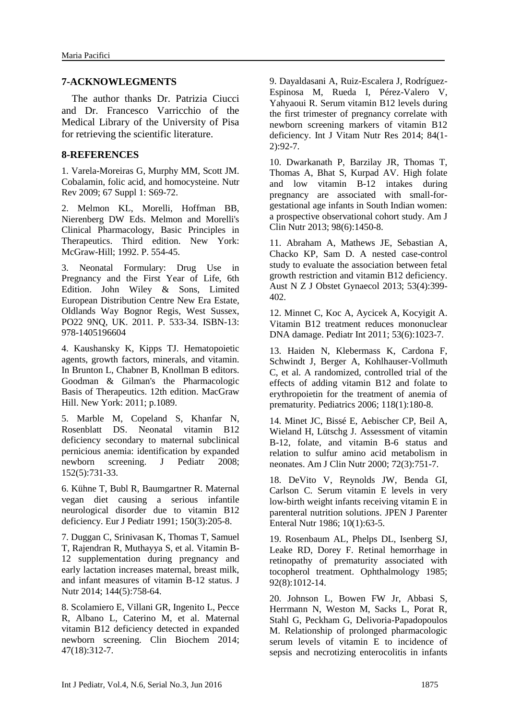#### **7-ACKNOWLEGMENTS**

 The author thanks Dr. Patrizia Ciucci and Dr. Francesco Varricchio of the Medical Library of the University of Pisa for retrieving the scientific literature.

#### **8-REFERENCES**

1. Varela-Moreiras G, Murphy MM, Scott JM. [Cobalamin, folic acid, and homocysteine.](http://www.ncbi.nlm.nih.gov/pubmed/19453682) Nutr Rev 2009; 67 Suppl 1: S69-72.

2. Melmon KL, Morelli, Hoffman BB, Nierenberg DW Eds. Melmon and Morelli's Clinical Pharmacology, Basic Principles in Therapeutics. Third edition. New York: McGraw-Hill; 1992. P. 554-45.

3. Neonatal Formulary: Drug Use in Pregnancy and the First Year of Life, 6th Edition. John Wiley & Sons, Limited European Distribution Centre New Era Estate, Oldlands Way Bognor Regis, West Sussex, PO22 9NQ, UK. 2011. P. 533-34. ISBN-13: 978-1405196604

4. Kaushansky K, Kipps TJ. Hematopoietic agents, growth factors, minerals, and vitamin. In Brunton L, Chabner B, Knollman B editors. Goodman & Gilman's the Pharmacologic Basis of Therapeutics. 12th edition. MacGraw Hill. New York: 2011; p.1089.

5. Marble M, Copeland S, Khanfar N, Rosenblatt DS. [Neonatal vitamin B12](http://www.ncbi.nlm.nih.gov/pubmed/18410783)  [deficiency secondary to maternal subclinical](http://www.ncbi.nlm.nih.gov/pubmed/18410783)  [pernicious anemia: identification by expanded](http://www.ncbi.nlm.nih.gov/pubmed/18410783)  [newborn screening.](http://www.ncbi.nlm.nih.gov/pubmed/18410783) J Pediatr 2008; 152(5):731-33.

6. Kühne T, Bubl R, Baumgartner R. [Maternal](http://www.ncbi.nlm.nih.gov/pubmed/2044594)  [vegan diet causing a serious infantile](http://www.ncbi.nlm.nih.gov/pubmed/2044594)  [neurological disorder due to vitamin B12](http://www.ncbi.nlm.nih.gov/pubmed/2044594)  [deficiency.](http://www.ncbi.nlm.nih.gov/pubmed/2044594) Eur J Pediatr 1991; 150(3):205-8.

7. Duggan C, Srinivasan K, Thomas T, Samuel T, Rajendran R, Muthayya S, et al. [Vitamin B-](http://www.ncbi.nlm.nih.gov/pubmed/24598885)[12 supplementation during pregnancy and](http://www.ncbi.nlm.nih.gov/pubmed/24598885)  [early lactation increases maternal, breast milk,](http://www.ncbi.nlm.nih.gov/pubmed/24598885)  [and infant measures of vitamin B-12 status.](http://www.ncbi.nlm.nih.gov/pubmed/24598885) J Nutr 2014; 144(5):758-64.

8. Scolamiero E, Villani GR, Ingenito L, Pecce R, Albano L, Caterino M, et al. [Maternal](http://www.ncbi.nlm.nih.gov/pubmed/25204964)  [vitamin B12 deficiency detected in expanded](http://www.ncbi.nlm.nih.gov/pubmed/25204964)  [newborn screening.](http://www.ncbi.nlm.nih.gov/pubmed/25204964) Clin Biochem 2014; 47(18):312-7.

9. Dayaldasani A, Ruiz-Escalera J, Rodríguez-Espinosa M, Rueda I, Pérez-Valero V, Yahyaoui R. [Serum vitamin B12 levels during](http://www.ncbi.nlm.nih.gov/pubmed/25835239)  [the first trimester of pregnancy correlate with](http://www.ncbi.nlm.nih.gov/pubmed/25835239)  [newborn screening markers of vitamin B12](http://www.ncbi.nlm.nih.gov/pubmed/25835239)  [deficiency.](http://www.ncbi.nlm.nih.gov/pubmed/25835239) Int J Vitam Nutr Res 2014; 84(1- 2):92-7.

10. Dwarkanath P, Barzilay JR, Thomas T, Thomas A, Bhat S, Kurpad AV. [High folate](http://www.ncbi.nlm.nih.gov/pubmed/24108785)  [and low vitamin B-12 intakes during](http://www.ncbi.nlm.nih.gov/pubmed/24108785)  [pregnancy are associated with small-for](http://www.ncbi.nlm.nih.gov/pubmed/24108785)[gestational age infants in South Indian women:](http://www.ncbi.nlm.nih.gov/pubmed/24108785)  [a prospective observational cohort study.](http://www.ncbi.nlm.nih.gov/pubmed/24108785) Am J Clin Nutr 2013; 98(6):1450-8.

11. [Abraham A,](http://www.ncbi.nlm.nih.gov/pubmed/?term=Abraham%20A%5BAuthor%5D&cauthor=true&cauthor_uid=23432069) [Mathews](http://www.ncbi.nlm.nih.gov/pubmed/?term=Mathews%20JE%5BAuthor%5D&cauthor=true&cauthor_uid=23432069) JE, [Sebastian A,](http://www.ncbi.nlm.nih.gov/pubmed/?term=Sebastian%20A%5BAuthor%5D&cauthor=true&cauthor_uid=23432069) [Chacko KP,](http://www.ncbi.nlm.nih.gov/pubmed/?term=Chacko%20KP%5BAuthor%5D&cauthor=true&cauthor_uid=23432069) [Sam D.](http://www.ncbi.nlm.nih.gov/pubmed/?term=Sam%20D%5BAuthor%5D&cauthor=true&cauthor_uid=23432069) A nested case-control study to evaluate the association between fetal growth restriction and vitamin B12 deficiency. [Aust N Z J Obstet Gynaecol](http://www.ncbi.nlm.nih.gov/pubmed/?term=Abraham+a%2C+mathews+je+2013) 2013; 53(4):399- 402.

12. [Minnet C,](http://www.ncbi.nlm.nih.gov/pubmed/?term=Minnet%20C%5BAuthor%5D&cauthor=true&cauthor_uid=21883683) [Koc A,](http://www.ncbi.nlm.nih.gov/pubmed/?term=Koc%20A%5BAuthor%5D&cauthor=true&cauthor_uid=21883683) [Aycicek A,](http://www.ncbi.nlm.nih.gov/pubmed/?term=Aycicek%20A%5BAuthor%5D&cauthor=true&cauthor_uid=21883683) [Kocyigit A.](http://www.ncbi.nlm.nih.gov/pubmed/?term=Kocyigit%20A%5BAuthor%5D&cauthor=true&cauthor_uid=21883683) Vitamin B12 treatment reduces mononuclear DNA damage. [Pediatr Int](http://www.ncbi.nlm.nih.gov/pubmed/?term=minnet+c+2011) 2011; 53(6):1023-7.

13. Haiden N, Klebermass K, Cardona F, Schwindt J, Berger A, Kohlhauser-Vollmuth C, et al. [A randomized, controlled trial of the](http://www.ncbi.nlm.nih.gov/pubmed/16818564)  [effects of adding vitamin B12 and folate to](http://www.ncbi.nlm.nih.gov/pubmed/16818564)  [erythropoietin for the treatment of anemia of](http://www.ncbi.nlm.nih.gov/pubmed/16818564)  [prematurity.](http://www.ncbi.nlm.nih.gov/pubmed/16818564) Pediatrics 2006; 118(1):180-8.

14. Minet JC, Bissé E, Aebischer CP, Beil A, Wieland H, Lütschg J. [Assessment of vitamin](http://www.ncbi.nlm.nih.gov/pubmed/10966894)  [B-12, folate, and vitamin B-6 status and](http://www.ncbi.nlm.nih.gov/pubmed/10966894)  [relation to sulfur amino acid metabolism in](http://www.ncbi.nlm.nih.gov/pubmed/10966894)  [neonates.](http://www.ncbi.nlm.nih.gov/pubmed/10966894) Am J Clin Nutr 2000; 72(3):751-7.

18. [DeVito V,](http://www.ncbi.nlm.nih.gov/pubmed/?term=DeVito%20V%5BAuthor%5D&cauthor=true&cauthor_uid=3080626) [Reynolds JW,](http://www.ncbi.nlm.nih.gov/pubmed/?term=Reynolds%20JW%5BAuthor%5D&cauthor=true&cauthor_uid=3080626) [Benda GI,](http://www.ncbi.nlm.nih.gov/pubmed/?term=Benda%20GI%5BAuthor%5D&cauthor=true&cauthor_uid=3080626) [Carlson C.](http://www.ncbi.nlm.nih.gov/pubmed/?term=Carlson%20C%5BAuthor%5D&cauthor=true&cauthor_uid=3080626) Serum vitamin E levels in very low-birth weight infants receiving vitamin E in parenteral nutrition solutions. [JPEN J Parenter](http://www.ncbi.nlm.nih.gov/pubmed/?term=DeVito+v+1986)  [Enteral Nutr](http://www.ncbi.nlm.nih.gov/pubmed/?term=DeVito+v+1986) 1986; 10(1):63-5.

19. Rosenbaum AL, Phelps DL, Isenberg SJ, Leake RD, Dorey F. [Retinal hemorrhage in](http://www.ncbi.nlm.nih.gov/pubmed/3900847)  [retinopathy of prematurity associated with](http://www.ncbi.nlm.nih.gov/pubmed/3900847)  [tocopherol treatment.](http://www.ncbi.nlm.nih.gov/pubmed/3900847) Ophthalmology 1985; 92(8):1012-14.

20. Johnson L, Bowen FW Jr, Abbasi S, Herrmann N, Weston M, Sacks L, Porat R, Stahl G, Peckham G, Delivoria-Papadopoulos M. [Relationship of prolonged pharmacologic](http://www.ncbi.nlm.nih.gov/pubmed/3885152)  [serum levels of vitamin E to incidence of](http://www.ncbi.nlm.nih.gov/pubmed/3885152)  [sepsis and necrotizing enterocolitis in infants](http://www.ncbi.nlm.nih.gov/pubmed/3885152)